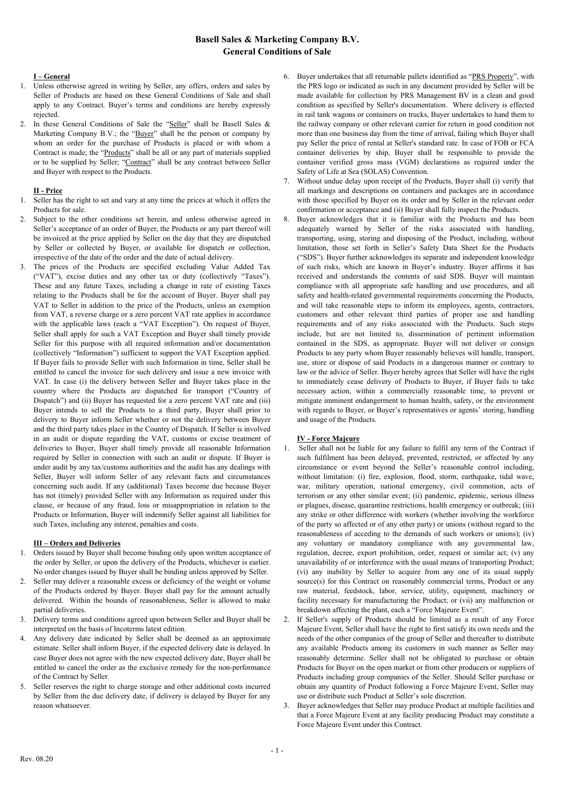# **Basell Sales & Marketing Company B.V. General Conditions of Sale**

## **I – General**

- 1. Unless otherwise agreed in writing by Seller, any offers, orders and sales by Seller of Products are based on these General Conditions of Sale and shall apply to any Contract. Buyer's terms and conditions are hereby expressly rejected.
- 2. In these General Conditions of Sale the "Seller" shall be Basell Sales & Marketing Company B.V.; the "Buyer" shall be the person or company by whom an order for the purchase of Products is placed or with whom a Contract is made; the "Products" shall be all or any part of materials supplied or to be supplied by Seller; "Contract" shall be any contract between Seller and Buyer with respect to the Products.

## **II - Price**

- 1. Seller has the right to set and vary at any time the prices at which it offers the Products for sale.
- 2. Subject to the other conditions set herein, and unless otherwise agreed in Seller's acceptance of an order of Buyer, the Products or any part thereof will be invoiced at the price applied by Seller on the day that they are dispatched by Seller or collected by Buyer, or available for dispatch or collection, irrespective of the date of the order and the date of actual delivery.
- The prices of the Products are specified excluding Value Added Tax ("VAT"), excise duties and any other tax or duty (collectively "Taxes"). These and any future Taxes, including a change in rate of existing Taxes relating to the Products shall be for the account of Buyer. Buyer shall pay VAT to Seller in addition to the price of the Products, unless an exemption from VAT, a reverse charge or a zero percent VAT rate applies in accordance with the applicable laws (each a "VAT Exception"). On request of Buyer, Seller shall apply for such a VAT Exception and Buyer shall timely provide Seller for this purpose with all required information and/or documentation (collectively "Information") sufficient to support the VAT Exception applied. If Buyer fails to provide Seller with such Information in time, Seller shall be entitled to cancel the invoice for such delivery and issue a new invoice with VAT. In case (i) the delivery between Seller and Buyer takes place in the country where the Products are dispatched for transport ("Country of Dispatch") and (ii) Buyer has requested for a zero percent VAT rate and (iii) Buyer intends to sell the Products to a third party, Buyer shall prior to delivery to Buyer inform Seller whether or not the delivery between Buyer and the third party takes place in the Country of Dispatch. If Seller is involved in an audit or dispute regarding the VAT, customs or excise treatment of deliveries to Buyer, Buyer shall timely provide all reasonable Information required by Seller in connection with such an audit or dispute. If Buyer is under audit by any tax/customs authorities and the audit has any dealings with Seller, Buyer will inform Seller of any relevant facts and circumstances concerning such audit. If any (additional) Taxes become due because Buyer has not (timely) provided Seller with any Information as required under this clause, or because of any fraud, loss or misappropriation in relation to the Products or Information, Buyer will indemnify Seller against all liabilities for such Taxes, including any interest, penalties and costs.

### **III – Orders and Deliveries**

- 1. Orders issued by Buyer shall become binding only upon written acceptance of the order by Seller, or upon the delivery of the Products, whichever is earlier. No order changes issued by Buyer shall be binding unless approved by Seller.
- 2. Seller may deliver a reasonable excess or deficiency of the weight or volume of the Products ordered by Buyer. Buyer shall pay for the amount actually delivered. Within the bounds of reasonableness, Seller is allowed to make partial deliveries.
- 3. Delivery terms and conditions agreed upon between Seller and Buyer shall be interpreted on the basis of Incoterms latest edition.
- 4. Any delivery date indicated by Seller shall be deemed as an approximate estimate. Seller shall inform Buyer, if the expected delivery date is delayed. In case Buyer does not agree with the new expected delivery date, Buyer shall be entitled to cancel the order as the exclusive remedy for the non-performance of the Contract by Seller.
- 5. Seller reserves the right to charge storage and other additional costs incurred by Seller from the due delivery date, if delivery is delayed by Buyer for any reason whatsoever.
- 6. Buyer undertakes that all returnable pallets identified as "PRS Property", with the PRS logo or indicated as such in any document provided by Seller will be made available for collection by PRS Management BV in a clean and good condition as specified by Seller's documentation. Where delivery is effected in rail tank wagons or containers on trucks, Buyer undertakes to hand them to the railway company or other relevant carrier for return in good condition not more than one business day from the time of arrival, failing which Buyer shall pay Seller the price of rental at Seller's standard rate. In case of FOB or FCA container deliveries by ship, Buyer shall be responsible to provide the container verified gross mass (VGM) declarations as required under the Safety of Life at Sea (SOLAS) Convention.
- 7. Without undue delay upon receipt of the Products, Buyer shall (i) verify that all markings and descriptions on containers and packages are in accordance with those specified by Buyer on its order and by Seller in the relevant order confirmation or acceptance and (ii) Buyer shall fully inspect the Products.
- 8. Buyer acknowledges that it is familiar with the Products and has been adequately warned by Seller of the risks associated with handling, transporting, using, storing and disposing of the Product, including, without limitation, those set forth in Seller's Safety Data Sheet for the Products ("SDS"). Buyer further acknowledges its separate and independent knowledge of such risks, which are known in Buyer's industry. Buyer affirms it has received and understands the contents of said SDS. Buyer will maintain compliance with all appropriate safe handling and use procedures, and all safety and health-related governmental requirements concerning the Products, and will take reasonable steps to inform its employees, agents, contractors, customers and other relevant third parties of proper use and handling requirements and of any risks associated with the Products. Such steps include, but are not limited to, dissemination of pertinent information contained in the SDS, as appropriate. Buyer will not deliver or consign Products to any party whom Buyer reasonably believes will handle, transport, use, store or dispose of said Products in a dangerous manner or contrary to law or the advice of Seller. Buyer hereby agrees that Seller will have the right to immediately cease delivery of Products to Buyer, if Buyer fails to take necessary action, within a commercially reasonable time, to prevent or mitigate imminent endangerment to human health, safety, or the environment with regards to Buyer, or Buyer's representatives or agents' storing, handling and usage of the Products.

## **IV - Force Majeure**

- 1. Seller shall not be liable for any failure to fulfil any term of the Contract if such fulfilment has been delayed, prevented, restricted, or affected by any circumstance or event beyond the Seller's reasonable control including, without limitation: (i) fire, explosion, flood, storm, earthquake, tidal wave, war, military operation, national emergency, civil commotion, acts of terrorism or any other similar event; (ii) pandemic, epidemic, serious illness or plagues, disease, quarantine restrictions, health emergency or outbreak; (iii) any strike or other difference with workers (whether involving the workforce of the party so affected or of any other party) or unions (without regard to the reasonableness of acceding to the demands of such workers or unions); (iv) any voluntary or mandatory compliance with any governmental law, regulation, decree, export prohibition, order, request or similar act; (v) any unavailability of or interference with the usual means of transporting Product; (vi) any inability by Seller to acquire from any one of its usual supply source(s) for this Contract on reasonably commercial terms, Product or any raw material, feedstock, labor, service, utility, equipment, machinery or facility necessary for manufacturing the Product; or (vii) any malfunction or breakdown affecting the plant, each a "Force Majeure Event".
- 2. If Seller's supply of Products should be limited as a result of any Force Majeure Event, Seller shall have the right to first satisfy its own needs and the needs of the other companies of the group of Seller and thereafter to distribute any available Products among its customers in such manner as Seller may reasonably determine. Seller shall not be obligated to purchase or obtain Products for Buyer on the open market or from other producers or suppliers of Products including group companies of the Seller. Should Seller purchase or obtain any quantity of Product following a Force Majeure Event, Seller may use or distribute such Product at Seller's sole discretion.
- 3. Buyer acknowledges that Seller may produce Product at multiple facilities and that a Force Majeure Event at any facility producing Product may constitute a Force Majeure Event under this Contract.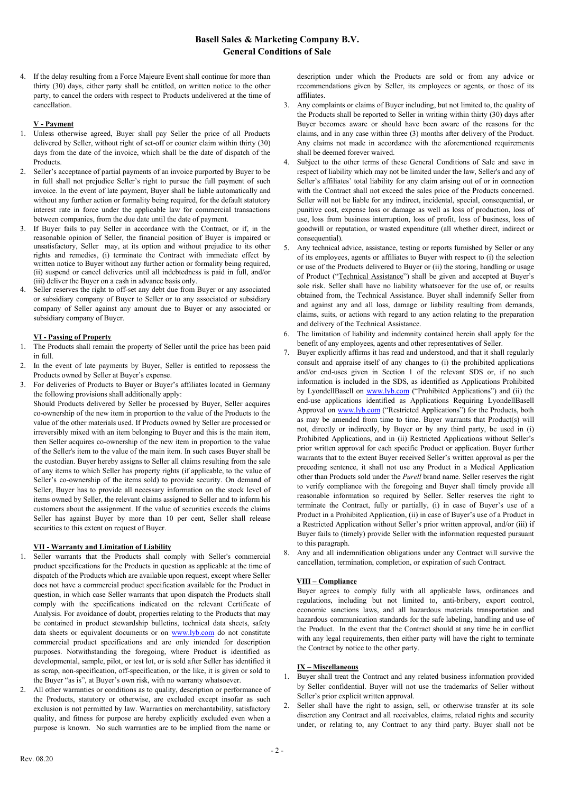# **Basell Sales & Marketing Company B.V. General Conditions of Sale**

4. If the delay resulting from a Force Majeure Event shall continue for more than thirty (30) days, either party shall be entitled, on written notice to the other party, to cancel the orders with respect to Products undelivered at the time of cancellation.

### **V - Payment**

- 1. Unless otherwise agreed, Buyer shall pay Seller the price of all Products delivered by Seller, without right of set-off or counter claim within thirty (30) days from the date of the invoice, which shall be the date of dispatch of the Products.
- 2. Seller's acceptance of partial payments of an invoice purported by Buyer to be in full shall not prejudice Seller's right to pursue the full payment of such invoice. In the event of late payment, Buyer shall be liable automatically and without any further action or formality being required, for the default statutory interest rate in force under the applicable law for commercial transactions between companies, from the due date until the date of payment.
- 3. If Buyer fails to pay Seller in accordance with the Contract, or if, in the reasonable opinion of Seller, the financial position of Buyer is impaired or unsatisfactory, Seller may, at its option and without prejudice to its other rights and remedies, (i) terminate the Contract with immediate effect by written notice to Buyer without any further action or formality being required, (ii) suspend or cancel deliveries until all indebtedness is paid in full, and/or (iii) deliver the Buyer on a cash in advance basis only.
- 4. Seller reserves the right to off-set any debt due from Buyer or any associated or subsidiary company of Buyer to Seller or to any associated or subsidiary company of Seller against any amount due to Buyer or any associated or subsidiary company of Buyer.

## **VI - Passing of Property**

- 1. The Products shall remain the property of Seller until the price has been paid in full.
- 2. In the event of late payments by Buyer, Seller is entitled to [repossess](http://www.dict.cc/englisch-deutsch/repossess.html) the Products owned by Seller at Buyer's expense.
- 3. For deliveries of Products to Buyer or Buyer's affiliates located in Germany the following provisions shall additionally apply:

Should Products delivered by Seller be processed by Buyer, Seller acquires co-ownership of the new item in proportion to the value of the Products to the value of the other materials used. If Products owned by Seller are processed or irreversibly mixed with an item belonging to Buyer and this is the main item, then Seller acquires co-ownership of the new item in proportion to the value of the Seller's item to the value of the main item. In such cases Buyer shall be the custodian. Buyer hereby assigns to Seller all claims resulting from the sale of any items to which Seller has property rights (if applicable, to the value of Seller's co-ownership of the items sold) to provide security. On demand of Seller, Buyer has to provide all necessary information on the stock level of items owned by Seller, the relevant claims assigned to Seller and to inform his customers about the assignment. If the value of securities exceeds the claims Seller has against Buyer by more than 10 per cent, Seller shall release securities to this extent on request of Buyer.

### **VII - Warranty and Limitation of Liability**

- 1. Seller warrants that the Products shall comply with Seller's commercial product specifications for the Products in question as applicable at the time of dispatch of the Products which are available upon request, except where Seller does not have a commercial product specification available for the Product in question, in which case Seller warrants that upon dispatch the Products shall comply with the specifications indicated on the relevant Certificate of Analysis. For avoidance of doubt, properties relating to the Products that may be contained in product stewardship bulletins, technical data sheets, safety data sheets or equivalent documents or on [www.lyb.com](http://www.lyb.com/) do not constitute commercial product specifications and are only intended for description purposes. Notwithstanding the foregoing, where Product is identified as developmental, sample, pilot, or test lot, or is sold after Seller has identified it as scrap, non-specification, off-specification, or the like, it is given or sold to the Buyer "as is", at Buyer's own risk, with no warranty whatsoever.
- 2. All other warranties or conditions as to quality, description or performance of the Products, statutory or otherwise, are excluded except insofar as such exclusion is not permitted by law. Warranties on merchantability, satisfactory quality, and fitness for purpose are hereby explicitly excluded even when a purpose is known. No such warranties are to be implied from the name or

description under which the Products are sold or from any advice or recommendations given by Seller, its employees or agents, or those of its affiliates.

- 3. Any complaints or claims of Buyer including, but not limited to, the quality of the Products shall be reported to Seller in writing within thirty (30) days after Buyer becomes aware or should have been aware of the reasons for the claims, and in any case within three (3) months after delivery of the Product. Any claims not made in accordance with the aforementioned requirements shall be deemed forever waived.
- 4. Subject to the other terms of these General Conditions of Sale and save in respect of liability which may not be limited under the law, Seller's and any of Seller's affiliates' total liability for any claim arising out of or in connection with the Contract shall not exceed the sales price of the Products concerned. Seller will not be liable for any indirect, incidental, special, consequential, or punitive cost, expense loss or damage as well as loss of production, loss of use, loss from business interruption, loss of profit, loss of business, loss of goodwill or reputation, or wasted expenditure (all whether direct, indirect or consequential).
- Any technical advice, assistance, testing or reports furnished by Seller or any of its employees, agents or affiliates to Buyer with respect to (i) the selection or use of the Products delivered to Buyer or (ii) the storing, handling or usage of Product ("Technical Assistance") shall be given and accepted at Buyer's sole risk. Seller shall have no liability whatsoever for the use of, or results obtained from, the Technical Assistance. Buyer shall indemnify Seller from and against any and all loss, damage or liability resulting from demands, claims, suits, or actions with regard to any action relating to the preparation and delivery of the Technical Assistance.
- 6. The limitation of liability and indemnity contained herein shall apply for the benefit of any employees, agents and other representatives of Seller.
- 7. Buyer explicitly affirms it has read and understood, and that it shall regularly consult and appraise itself of any changes to (i) the prohibited applications and/or end-uses given in Section 1 of the relevant SDS or, if no such information is included in the SDS, as identified as Applications Prohibited by LyondellBasell on [www.lyb.com](http://www.lyb.com/) ("Prohibited Applications") and (ii) the end-use applications identified as Applications Requiring LyondellBasell Approval on [www.lyb.com](http://www.lyb.com/) ("Restricted Applications") for the Products, both as may be amended from time to time. Buyer warrants that Product(s) will not, directly or indirectly, by Buyer or by any third party, be used in (i) Prohibited Applications, and in (ii) Restricted Applications without Seller's prior written approval for each specific Product or application. Buyer further warrants that to the extent Buyer received Seller's written approval as per the preceding sentence, it shall not use any Product in a Medical Application other than Products sold under the *Purell* brand name. Seller reserves the right to verify compliance with the foregoing and Buyer shall timely provide all reasonable information so required by Seller. Seller reserves the right to terminate the Contract, fully or partially, (i) in case of Buyer's use of a Product in a Prohibited Application, (ii) in case of Buyer's use of a Product in a Restricted Application without Seller's prior written approval, and/or (iii) if Buyer fails to (timely) provide Seller with the information requested pursuant to this paragraph.
- 8. Any and all indemnification obligations under any Contract will survive the cancellation, termination, completion, or expiration of such Contract.

#### **VIII – Compliance**

Buyer agrees to comply fully with all applicable laws, ordinances and regulations, including but not limited to, anti-bribery, export control, economic sanctions laws, and all hazardous materials transportation and hazardous communication standards for the safe labeling, handling and use of the Product. In the event that the Contract should at any time be in conflict with any legal requirements, then either party will have the right to terminate the Contract by notice to the other party.

#### **IX – Miscellaneous**

- 1. Buyer shall treat the Contract and any related business information provided by Seller confidential. Buyer will not use the trademarks of Seller without Seller's prior explicit written approval.
- 2. Seller shall have the right to assign, sell, or otherwise transfer at its sole discretion any Contract and all receivables, claims, related rights and security under, or relating to, any Contract to any third party. Buyer shall not be